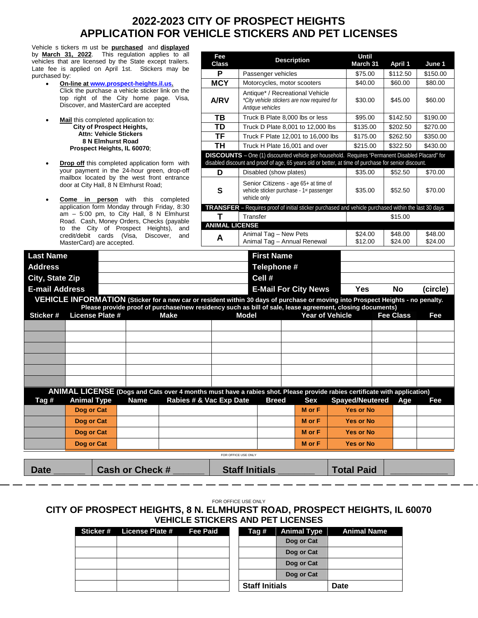## **2022-2023 CITY OF PROSPECT HEIGHTS APPLICATION FOR VEHICLE STICKERS AND PET LICENSES**

Vehicle s tickers m ust be **purchased** and **displayed** by **March 31, 2022**. This regulation applies vehicles that are licensed by the State except Late fee is applied on April 1st. Stickers n purchased by:

- **On-line at [www.prospect-heights.il.us.](http://www.prospect-heights.il.us/)** Click the purchase a vehicle sticker link top right of the City home page Discover, and MasterCard are accepted
- **Mail** this completed application to: **City of Prospect Heights, Attn: Vehicle Stickers 8 N Elmhurst Road Prospect Heights, IL 60070**;
- **Drop off** this completed application form your payment in the 24-hour green, mailbox located by the west front en door at City Hall, 8 N Elmhurst Road;
- **Come in person** with this con application form Monday through Frida  $am - 5:00$  pm, to City Hall,  $8 N E$ Road. Cash, Money Orders, Checks (p to the City of Prospect Heights) credit/debit cards (Visa, Discover MasterCard) are accepted.

| vernore o noncro in usu per <b>purenaseu</b> anu <b>urspiaveu</b><br>by March 31, 2022. This regulation applies to all<br>vehicles that are licensed by the State except trailers.<br>Late fee is applied on April 1st. Stickers may be     | Fee<br><b>Class</b>   |                        | <b>Description</b>                                                                                                                                                                                             | <b>Until</b><br>March 31 | April 1            | June 1             |
|---------------------------------------------------------------------------------------------------------------------------------------------------------------------------------------------------------------------------------------------|-----------------------|------------------------|----------------------------------------------------------------------------------------------------------------------------------------------------------------------------------------------------------------|--------------------------|--------------------|--------------------|
| purchased by:                                                                                                                                                                                                                               | P                     | Passenger vehicles     |                                                                                                                                                                                                                | \$75.00                  | \$112.50           | \$150.00           |
| On-line at www.prospect-heights.il.us.                                                                                                                                                                                                      | <b>MCY</b>            |                        | Motorcycles, motor scooters                                                                                                                                                                                    | \$40.00                  | \$60.00            | \$80.00            |
| Click the purchase a vehicle sticker link on the<br>top right of the City home page. Visa,<br>Discover, and MasterCard are accepted                                                                                                         | <b>A/RV</b>           | Antique vehicles       | Antique* / Recreational Vehicle<br>*City vehicle stickers are now required for                                                                                                                                 | \$30.00                  | \$45.00            | \$60.00            |
| Mail this completed application to:                                                                                                                                                                                                         | <b>TB</b>             |                        | Truck B Plate 8,000 lbs or less                                                                                                                                                                                | \$95.00                  | \$142.50           | \$190.00           |
| <b>City of Prospect Heights,</b>                                                                                                                                                                                                            | <b>TD</b>             |                        | Truck D Plate 8,001 to 12,000 lbs                                                                                                                                                                              | \$135.00                 | \$202.50           | \$270.00           |
| <b>Attn: Vehicle Stickers</b>                                                                                                                                                                                                               | TF                    |                        | Truck F Plate 12,001 to 16,000 lbs                                                                                                                                                                             | \$175.00                 | \$262.50           | \$350.00           |
| 8 N Elmhurst Road<br>Prospect Heights, IL 60070;                                                                                                                                                                                            | <b>TH</b>             |                        | Truck H Plate 16,001 and over                                                                                                                                                                                  | \$215.00                 | \$322.50           | \$430.00           |
| <b>Drop off this completed application form with</b>                                                                                                                                                                                        |                       |                        | <b>DISCOUNTS</b> - One (1) discounted vehicle per household. Requires "Permanent Disabled Placard" for<br>disabled discount and proof of age, 65 years old or better, at time of purchase for senior discount. |                          |                    |                    |
| your payment in the 24-hour green, drop-off<br>mailbox located by the west front entrance                                                                                                                                                   | D                     | Disabled (show plates) |                                                                                                                                                                                                                | \$35.00                  | \$52.50            | \$70.00            |
| door at City Hall, 8 N Elmhurst Road;<br>Come in person with this completed                                                                                                                                                                 | $\mathbf{s}$          | vehicle only           | Senior Citizens - age 65+ at time of<br>vehicle sticker purchase - 1st passenger                                                                                                                               | \$35.00                  | \$52.50            | \$70.00            |
| application form Monday through Friday, 8:30                                                                                                                                                                                                |                       |                        | TRANSFER - Requires proof of initial sticker purchased and vehicle purchased within the last 30 days                                                                                                           |                          |                    |                    |
| $am - 5:00$ pm, to City Hall, 8 N Elmhurst                                                                                                                                                                                                  | T                     | Transfer               |                                                                                                                                                                                                                |                          | \$15.00            |                    |
| Road. Cash, Money Orders, Checks (payable<br>to the City of Prospect Heights), and                                                                                                                                                          | <b>ANIMAL LICENSE</b> |                        |                                                                                                                                                                                                                |                          |                    |                    |
| credit/debit cards (Visa,<br>Discover,<br>and<br>MasterCard) are accepted.                                                                                                                                                                  | A                     | Animal Tag - New Pets  | Animal Tag - Annual Renewal                                                                                                                                                                                    | \$24.00<br>\$12.00       | \$48.00<br>\$24.00 | \$48.00<br>\$24.00 |
| <b>Last Name</b>                                                                                                                                                                                                                            |                       | <b>First Name</b>      |                                                                                                                                                                                                                |                          |                    |                    |
| Address                                                                                                                                                                                                                                     |                       | Telephone #            |                                                                                                                                                                                                                |                          |                    |                    |
| City, State Zip                                                                                                                                                                                                                             |                       | Cell #                 |                                                                                                                                                                                                                |                          |                    |                    |
|                                                                                                                                                                                                                                             |                       |                        | <b>E-Mail For City News</b>                                                                                                                                                                                    | <b>Yes</b>               | No                 | (circle)           |
|                                                                                                                                                                                                                                             |                       |                        |                                                                                                                                                                                                                |                          |                    |                    |
|                                                                                                                                                                                                                                             |                       |                        |                                                                                                                                                                                                                |                          |                    |                    |
| VEHICLE INFORMATION (Sticker for a new car or resident within 30 days of purchase or moving into Prospect Heights - no penalty.<br>Please provide proof of purchase/new residency such as bill of sale, lease agreement, closing documents) |                       |                        |                                                                                                                                                                                                                |                          |                    |                    |
| <b>E-mail Address</b><br><b>License Plate #</b><br>Sticker#<br><b>Make</b>                                                                                                                                                                  |                       | <b>Model</b>           | <b>Year of Vehicle</b>                                                                                                                                                                                         |                          | <b>Fee Class</b>   | Fee                |
|                                                                                                                                                                                                                                             |                       |                        |                                                                                                                                                                                                                |                          |                    |                    |

|       | ANIMAL LICENSE (Dogs and Cats over 4 months must have a rabies shot. Please provide rabies certificate with application) |             |                         |  |              |        |                        |  |     |     |
|-------|--------------------------------------------------------------------------------------------------------------------------|-------------|-------------------------|--|--------------|--------|------------------------|--|-----|-----|
| Tag # | <b>Animal Type</b>                                                                                                       | <b>Name</b> | Rabies # & Vac Exp Date |  | <b>Breed</b> | Sex    | <b>Spayed/Neutered</b> |  | Age | Fee |
|       | Dog or Cat                                                                                                               |             |                         |  |              | M or F | <b>Yes or No</b>       |  |     |     |
|       | Dog or Cat                                                                                                               |             |                         |  |              | M or F | <b>Yes or No</b>       |  |     |     |
|       | Dog or Cat                                                                                                               |             |                         |  |              | M or F | <b>Yes or No</b>       |  |     |     |
|       | Dog or Cat                                                                                                               |             |                         |  |              | M or F | <b>Yes or No</b>       |  |     |     |
|       |                                                                                                                          |             |                         |  |              |        |                        |  |     |     |

FOR OFFICE USE ONLY

**Date \_\_\_\_\_\_ Cash or Check # \_\_\_\_\_\_ Staff Initials \_\_\_\_\_\_\_ Total Paid \_\_\_\_\_\_\_\_\_\_\_**

FOR OFFICE USE ONLY

## **CITY OF PROSPECT HEIGHTS, 8 N. ELMHURST ROAD, PROSPECT HEIGHTS, IL 60070 VEHICLE STICKERS AND PET LICENSES**

| Sticker# | License Plate # | <b>Fee Paid</b> | Tag #                 | <b>Animal Type</b> | <b>Animal Name</b> |
|----------|-----------------|-----------------|-----------------------|--------------------|--------------------|
|          |                 |                 |                       | Dog or Cat         |                    |
|          |                 |                 |                       | Dog or Cat         |                    |
|          |                 |                 |                       | Dog or Cat         |                    |
|          |                 |                 |                       | Dog or Cat         |                    |
|          |                 |                 | <b>Staff Initials</b> |                    | Date               |